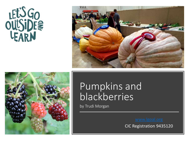# LET'S GO<br>OULSIDE<sup>2</sup>





# Pumpkins and blackberries

by Trudi Morgan

CIC Registration 9435120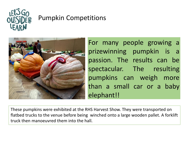

## Pumpkin Competitions



For many people growing a prizewinning pumpkin is a passion. The results can be spectacular. The resulting pumpkins can weigh more than a small car or a baby elephant!!

These pumpkins were exhibited at the RHS Harvest Show. They were transported on flatbed trucks to the venue before being winched onto a large wooden pallet. A forklift truck then manoeuvred them into the hall.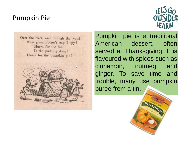#### Pumpkin Pie





Pumpkin pie is a traditional American dessert, often served at Thanksgiving. It is flavoured with spices such as cinnamon, nutmeg and ginger. To save time and trouble, many use pumpkin puree from a tin.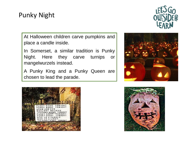### Punky Night



At Halloween children carve pumpkins and place a candle inside.

In Somerset, a similar tradition is Punky Night. Here they carve turnips or mangelwurzels instead.

A Punky King and a Punky Queen are chosen to lead the parade.





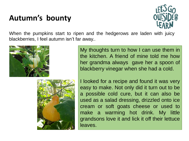## **Autumn's bounty**



When the pumpkins start to ripen and the hedgerows are laden with juicy blackberries, I feel autumn isn't far away..



My thoughts turn to how I can use them in the kitchen. A friend of mine told me how her grandma always gave her a spoon of blackberry vinegar when she had a cold.



I looked for a recipe and found it was very easy to make. Not only did it turn out to be a possible cold cure, but it can also be used as a salad dressing, drizzled onto ice cream or soft goats cheese or used to make a warming hot drink. My little grandsons love it and lick it off their lettuce leaves.